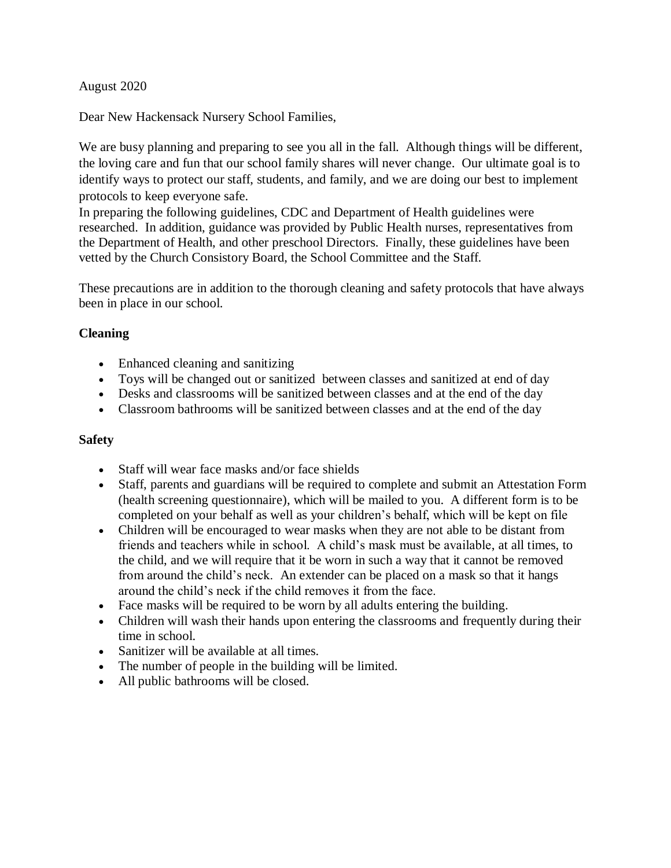## August 2020

Dear New Hackensack Nursery School Families,

We are busy planning and preparing to see you all in the fall. Although things will be different, the loving care and fun that our school family shares will never change. Our ultimate goal is to identify ways to protect our staff, students, and family, and we are doing our best to implement protocols to keep everyone safe.

In preparing the following guidelines, CDC and Department of Health guidelines were researched. In addition, guidance was provided by Public Health nurses, representatives from the Department of Health, and other preschool Directors. Finally, these guidelines have been vetted by the Church Consistory Board, the School Committee and the Staff.

These precautions are in addition to the thorough cleaning and safety protocols that have always been in place in our school.

## **Cleaning**

- Enhanced cleaning and sanitizing
- Toys will be changed out or sanitized between classes and sanitized at end of day
- Desks and classrooms will be sanitized between classes and at the end of the day
- Classroom bathrooms will be sanitized between classes and at the end of the day

### **Safety**

- Staff will wear face masks and/or face shields
- Staff, parents and guardians will be required to complete and submit an Attestation Form (health screening questionnaire), which will be mailed to you. A different form is to be completed on your behalf as well as your children's behalf, which will be kept on file
- Children will be encouraged to wear masks when they are not able to be distant from friends and teachers while in school. A child's mask must be available, at all times, to the child, and we will require that it be worn in such a way that it cannot be removed from around the child's neck. An extender can be placed on a mask so that it hangs around the child's neck if the child removes it from the face.
- Face masks will be required to be worn by all adults entering the building.
- Children will wash their hands upon entering the classrooms and frequently during their time in school.
- Sanitizer will be available at all times.
- The number of people in the building will be limited.
- All public bathrooms will be closed.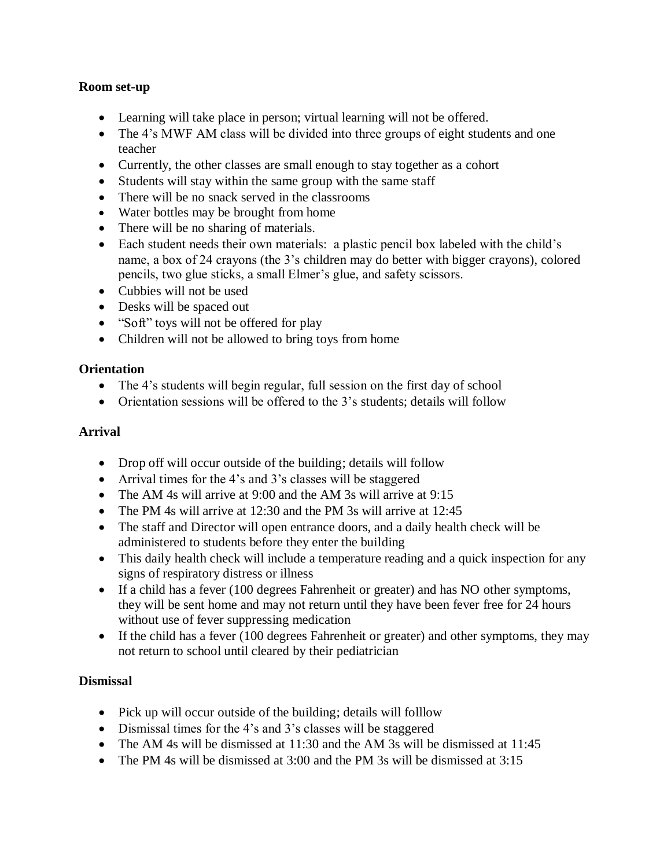## **Room set-up**

- Learning will take place in person; virtual learning will not be offered.
- The 4's MWF AM class will be divided into three groups of eight students and one teacher
- Currently, the other classes are small enough to stay together as a cohort
- Students will stay within the same group with the same staff
- There will be no snack served in the classrooms
- Water bottles may be brought from home
- There will be no sharing of materials.
- Each student needs their own materials: a plastic pencil box labeled with the child's name, a box of 24 crayons (the 3's children may do better with bigger crayons), colored pencils, two glue sticks, a small Elmer's glue, and safety scissors.
- Cubbies will not be used
- Desks will be spaced out
- "Soft" toys will not be offered for play
- Children will not be allowed to bring toys from home

# **Orientation**

- The 4's students will begin regular, full session on the first day of school
- Orientation sessions will be offered to the 3's students; details will follow

## **Arrival**

- Drop off will occur outside of the building; details will follow
- Arrival times for the 4's and 3's classes will be staggered
- The AM 4s will arrive at 9:00 and the AM 3s will arrive at 9:15
- The PM 4s will arrive at 12:30 and the PM 3s will arrive at 12:45
- The staff and Director will open entrance doors, and a daily health check will be administered to students before they enter the building
- This daily health check will include a temperature reading and a quick inspection for any signs of respiratory distress or illness
- If a child has a fever (100 degrees Fahrenheit or greater) and has NO other symptoms, they will be sent home and may not return until they have been fever free for 24 hours without use of fever suppressing medication
- If the child has a fever (100 degrees Fahrenheit or greater) and other symptoms, they may not return to school until cleared by their pediatrician

# **Dismissal**

- Pick up will occur outside of the building; details will folllow
- Dismissal times for the 4's and 3's classes will be staggered
- The AM 4s will be dismissed at 11:30 and the AM 3s will be dismissed at 11:45
- The PM 4s will be dismissed at 3:00 and the PM 3s will be dismissed at 3:15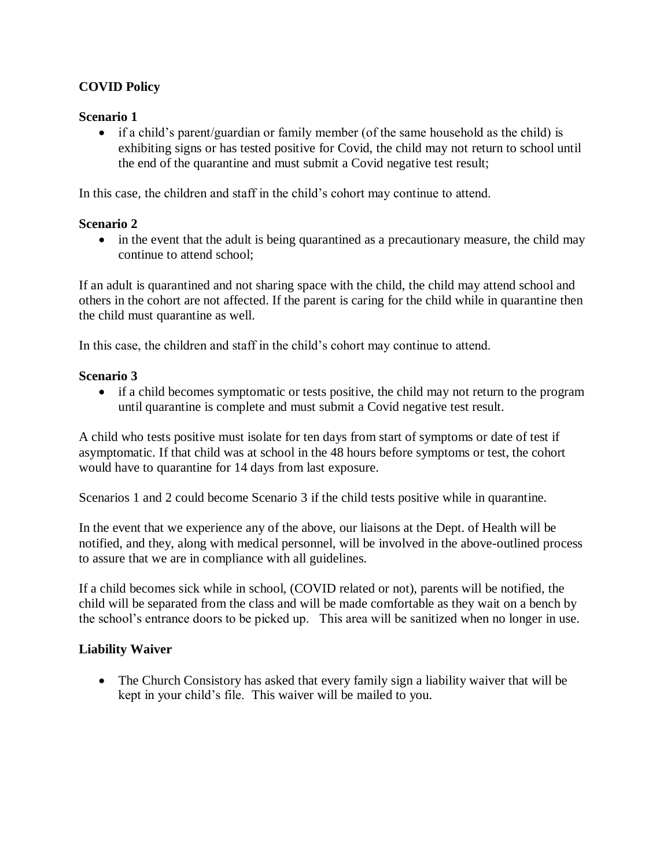# **COVID Policy**

## **Scenario 1**

• if a child's parent/guardian or family member (of the same household as the child) is exhibiting signs or has tested positive for Covid, the child may not return to school until the end of the quarantine and must submit a Covid negative test result;

In this case, the children and staff in the child's cohort may continue to attend.

## **Scenario 2**

• in the event that the adult is being quarantined as a precautionary measure, the child may continue to attend school;

If an adult is quarantined and not sharing space with the child, the child may attend school and others in the cohort are not affected. If the parent is caring for the child while in quarantine then the child must quarantine as well.

In this case, the children and staff in the child's cohort may continue to attend.

### **Scenario 3**

 if a child becomes symptomatic or tests positive, the child may not return to the program until quarantine is complete and must submit a Covid negative test result.

A child who tests positive must isolate for ten days from start of symptoms or date of test if asymptomatic. If that child was at school in the 48 hours before symptoms or test, the cohort would have to quarantine for 14 days from last exposure.

Scenarios 1 and 2 could become Scenario 3 if the child tests positive while in quarantine.

In the event that we experience any of the above, our liaisons at the Dept. of Health will be notified, and they, along with medical personnel, will be involved in the above-outlined process to assure that we are in compliance with all guidelines.

If a child becomes sick while in school, (COVID related or not), parents will be notified, the child will be separated from the class and will be made comfortable as they wait on a bench by the school's entrance doors to be picked up. This area will be sanitized when no longer in use.

### **Liability Waiver**

• The Church Consistory has asked that every family sign a liability waiver that will be kept in your child's file. This waiver will be mailed to you.